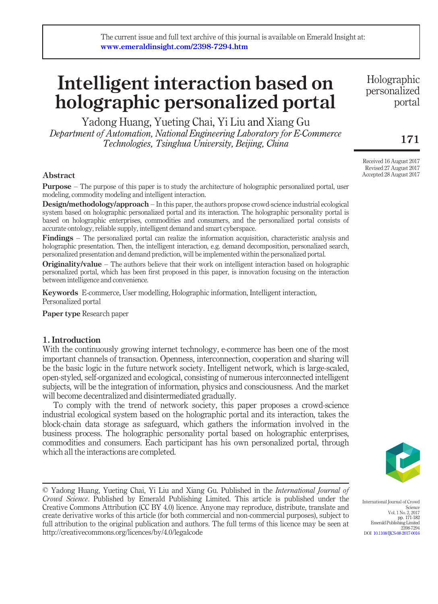# Intelligent interaction based on holographic personalized portal

Yadong Huang, Yueting Chai, Yi Liu and Xiang Gu Department of Automation, National Engineering Laboratory for E-Commerce Technologies, Tsinghua University, Beijing, China

# Abstract

**Purpose** – The purpose of this paper is to study the architecture of holographic personalized portal, user modeling, commodity modeling and intelligent interaction.

Design/methodology/approach – In this paper, the authors propose crowd-science industrial ecological system based on holographic personalized portal and its interaction. The holographic personality portal is based on holographic enterprises, commodities and consumers, and the personalized portal consists of accurate ontology, reliable supply, intelligent demand and smart cyberspace.

Findings – The personalized portal can realize the information acquisition, characteristic analysis and holographic presentation. Then, the intelligent interaction, e.g. demand decomposition, personalized search, personalized presentation and demand prediction, will be implemented within the personalized portal.

**Originality/value** – The authors believe that their work on intelligent interaction based on holographic personalized portal, which has been first proposed in this paper, is innovation focusing on the interaction between intelligence and convenience.

Keywords E-commerce, User modelling, Holographic information, Intelligent interaction, Personalized portal

Paper type Research paper

# 1. Introduction

With the continuously growing internet technology, e-commerce has been one of the most important channels of transaction. Openness, interconnection, cooperation and sharing will be the basic logic in the future network society. Intelligent network, which is large-scaled, open-styled, self-organized and ecological, consisting of numerous interconnected intelligent subjects, will be the integration of information, physics and consciousness. And the market will become decentralized and disintermediated gradually.

To comply with the trend of network society, this paper proposes a crowd-science industrial ecological system based on the holographic portal and its interaction, takes the block-chain data storage as safeguard, which gathers the information involved in the business process. The holographic personality portal based on holographic enterprises, commodities and consumers. Each participant has his own personalized portal, through which all the interactions are completed.

Holographic personalized portal

171

Received 16 August 2017 Revised 27 August 2017 Accepted 28 August 2017



International Journal of Crowd Science Vol. 1 No. 2, 2017 pp. 171-182 Emerald Publishing Limited 2398-7294 DOI [10.1108/IJCS-08-2017-0016](http://dx.doi.org/10.1108/IJCS-08-2017-0016)

<sup>©</sup> Yadong Huang, Yueting Chai, Yi Liu and Xiang Gu. Published in the International Journal of Crowd Science. Published by Emerald Publishing Limited. This article is published under the Creative Commons Attribution (CC BY 4.0) licence. Anyone may reproduce, distribute, translate and create derivative works of this article (for both commercial and non-commercial purposes), subject to full attribution to the original publication and authors. The full terms of this licence may be seen at http://creativecommons.org/licences/by/4.0/legalcode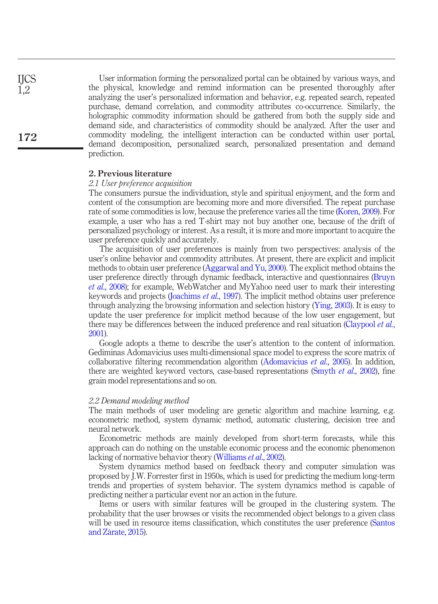User information forming the personalized portal can be obtained by various ways, and the physical, knowledge and remind information can be presented thoroughly after analyzing the user's personalized information and behavior, e.g. repeated search, repeated purchase, demand correlation, and commodity attributes co-occurrence. Similarly, the holographic commodity information should be gathered from both the supply side and demand side, and characteristics of commodity should be analyzed. After the user and commodity modeling, the intelligent interaction can be conducted within user portal, demand decomposition, personalized search, personalized presentation and demand prediction. IJCS 1,2 172

# 2. Previous literature

#### 2.1 User preference acquisition

The consumers pursue the individuation, style and spiritual enjoyment, and the form and content of the consumption are becoming more and more diversified. The repeat purchase rate of some commodities is low, because the preference varies all the time ([Koren, 2009](#page-11-0)). For example, a user who has a red T-shirt may not buy another one, because of the drift of personalized psychology or interest. As a result, it is more and more important to acquire the user preference quickly and accurately.

The acquisition of user preferences is mainly from two perspectives: analysis of the user's online behavior and commodity attributes. At present, there are explicit and implicit methods to obtain user preference ([Aggarwal and Yu, 2000\)](#page-10-0). The explicit method obtains the user preference directly through dynamic feedback, interactive and questionnaires ([Bruyn](#page-10-1) et al[., 2008\)](#page-10-1); for example, WebWatcher and MyYahoo need user to mark their interesting keywords and projects ([Joachims](#page-11-1) *et al.*, 1997). The implicit method obtains user preference through analyzing the browsing information and selection history [\(Ying, 2003\)](#page-11-2). It is easy to update the user preference for implicit method because of the low user engagement, but there may be differences between the induced preference and real situation ([Claypool](#page-11-3) et al., [2001](#page-11-3)).

Google adopts a theme to describe the user's attention to the content of information. Gediminas Adomavicius uses multi-dimensional space model to express the score matrix of collaborative filtering recommendation algorithm [\(Adomavicius](#page-10-2) *et al.*, 2005). In addition, there are weighted keyword vectors, case-based representations [\(Smyth](#page-11-4) et al., 2002), fine grain model representations and so on.

#### 2.2 Demand modeling method

The main methods of user modeling are genetic algorithm and machine learning, e.g. econometric method, system dynamic method, automatic clustering, decision tree and neural network.

Econometric methods are mainly developed from short-term forecasts, while this approach can do nothing on the unstable economic process and the economic phenomenon lacking of normative behavior theory [\(Williams](#page-11-5) et al., 2002).

System dynamics method based on feedback theory and computer simulation was proposed by J.W. Forrester first in 1950s, which is used for predicting the medium long-term trends and properties of system behavior. The system dynamics method is capable of predicting neither a particular event nor an action in the future.

Items or users with similar features will be grouped in the clustering system. The probability that the user browses or visits the recommended object belongs to a given class will be used in resource items classification, which constitutes the user preference ([Santos](#page-11-6) [and Zárate, 2015\)](#page-11-6).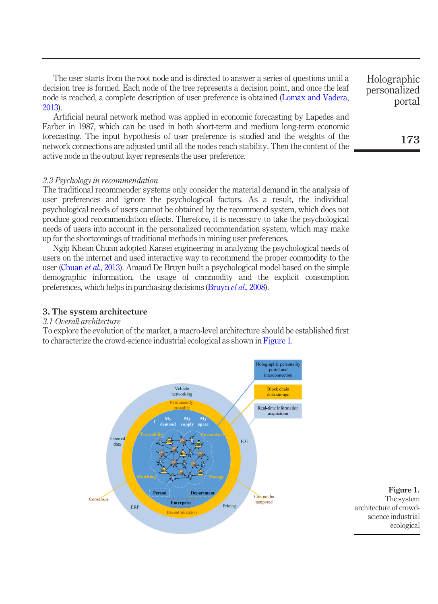The user starts from the root node and is directed to answer a series of questions until a decision tree is formed. Each node of the tree represents a decision point, and once the leaf node is reached, a complete description of user preference is obtained ([Lomax and Vadera,](#page-11-7) [2013\)](#page-11-7).

Artificial neural network method was applied in economic forecasting by Lapedes and Farber in 1987, which can be used in both short-term and medium long-term economic forecasting. The input hypothesis of user preference is studied and the weights of the network connections are adjusted until all the nodes reach stability. Then the content of the active node in the output layer represents the user preference.

## 2.3 Psychology in recommendation

The traditional recommender systems only consider the material demand in the analysis of user preferences and ignore the psychological factors. As a result, the individual psychological needs of users cannot be obtained by the recommend system, which does not produce good recommendation effects. Therefore, it is necessary to take the psychological needs of users into account in the personalized recommendation system, which may make up for the shortcomings of traditional methods in mining user preferences.

Ngip Khean Chuan adopted Kansei engineering in analyzing the psychological needs of users on the internet and used interactive way to recommend the proper commodity to the user ([Chuan](#page-11-8) *et al.*, 2013). Amaud De Bruyn built a psychological model based on the simple demographic information, the usage of commodity and the explicit consumption preferences, which helps in purchasing decisions [\(Bruyn](#page-10-1) *et al.*, 2008).

# 3. The system architecture

# 3.1 Overall architecture

To explore the evolution of the market, a macro-level architecture should be established first to characterize the crowd-science industrial ecological as shown in [Figure 1.](#page-2-0)



<span id="page-2-0"></span>Figure 1. The system architecture of crowdscience industrial ecological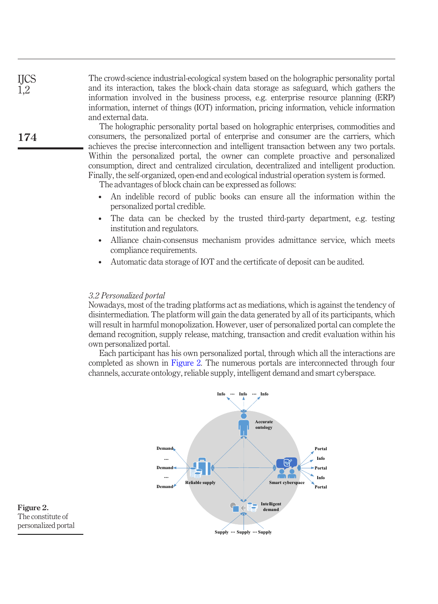The crowd-science industrial-ecological system based on the holographic personality portal and its interaction, takes the block-chain data storage as safeguard, which gathers the information involved in the business process, e.g. enterprise resource planning (ERP) information, internet of things (IOT) information, pricing information, vehicle information and external data.

> The holographic personality portal based on holographic enterprises, commodities and consumers, the personalized portal of enterprise and consumer are the carriers, which achieves the precise interconnection and intelligent transaction between any two portals. Within the personalized portal, the owner can complete proactive and personalized consumption, direct and centralized circulation, decentralized and intelligent production. Finally, the self-organized, open-end and ecological industrial operation system is formed.

The advantages of block chain can be expressed as follows:

- An indelible record of public books can ensure all the information within the personalized portal credible.
- The data can be checked by the trusted third-party department, e.g. testing institution and regulators.
- Alliance chain-consensus mechanism provides admittance service, which meets compliance requirements.
- Automatic data storage of IOT and the certificate of deposit can be audited.

#### 3.2 Personalized portal

Nowadays, most of the trading platforms act as mediations, which is against the tendency of disintermediation. The platform will gain the data generated by all of its participants, which will result in harmful monopolization. However, user of personalized portal can complete the demand recognition, supply release, matching, transaction and credit evaluation within his own personalized portal.

Each participant has his own personalized portal, through which all the interactions are completed as shown in [Figure 2](#page-3-0). The numerous portals are interconnected through four channels, accurate ontology, reliable supply, intelligent demand and smart cyberspace.



<span id="page-3-0"></span>Figure 2. The constitute of personalized portal

IJCS  $\frac{1}{1}$ 

174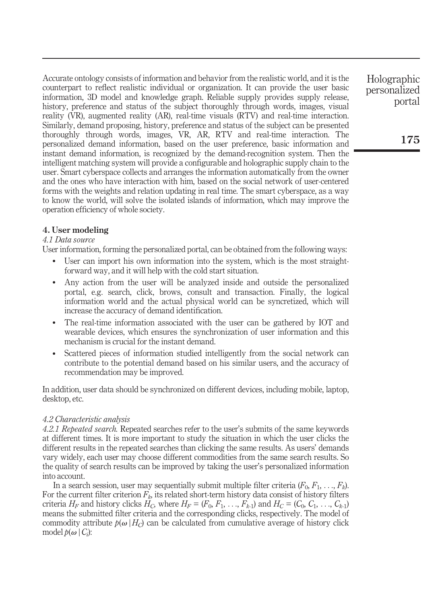Accurate ontology consists of information and behavior from the realistic world, and it is the counterpart to reflect realistic individual or organization. It can provide the user basic information, 3D model and knowledge graph. Reliable supply provides supply release, history, preference and status of the subject thoroughly through words, images, visual reality (VR), augmented reality (AR), real-time visuals (RTV) and real-time interaction. Similarly, demand proposing, history, preference and status of the subject can be presented thoroughly through words, images, VR, AR, RTV and real-time interaction. The personalized demand information, based on the user preference, basic information and instant demand information, is recognized by the demand-recognition system. Then the intelligent matching system will provide a configurable and holographic supply chain to the user. Smart cyberspace collects and arranges the information automatically from the owner and the ones who have interaction with him, based on the social network of user-centered forms with the weights and relation updating in real time. The smart cyberspace, as a way to know the world, will solve the isolated islands of information, which may improve the operation efficiency of whole society.

# 4. User modeling

# 4.1 Data source

User information, forming the personalized portal, can be obtained from the following ways:

- User can import his own information into the system, which is the most straightforward way, and it will help with the cold start situation.
- Any action from the user will be analyzed inside and outside the personalized portal, e.g. search, click, brows, consult and transaction. Finally, the logical information world and the actual physical world can be syncretized, which will increase the accuracy of demand identification.
- The real-time information associated with the user can be gathered by IOT and wearable devices, which ensures the synchronization of user information and this mechanism is crucial for the instant demand.
- Scattered pieces of information studied intelligently from the social network can contribute to the potential demand based on his similar users, and the accuracy of recommendation may be improved.

In addition, user data should be synchronized on different devices, including mobile, laptop, desktop, etc.

# 4.2 Characteristic analysis

4.2.1 Repeated search. Repeated searches refer to the user's submits of the same keywords at different times. It is more important to study the situation in which the user clicks the different results in the repeated searches than clicking the same results. As users' demands vary widely, each user may choose different commodities from the same search results. So the quality of search results can be improved by taking the user's personalized information into account.

In a search session, user may sequentially submit multiple filter criteria  $(F_0, F_1, \ldots, F_k)$ . For the current filter criterion  $F_k$ , its related short-term history data consist of history filters criteria  $H_F$  and history clicks  $H_C$ , where  $H_F = (F_0, F_1, \ldots, F_{k-1})$  and  $H_C = (C_0, C_1, \ldots, C_{k-1})$ means the submitted filter criteria and the corresponding clicks, respectively. The model of commodity attribute  $p(\omega|H_C)$  can be calculated from cumulative average of history click model  $p(\omega|C_i)$ :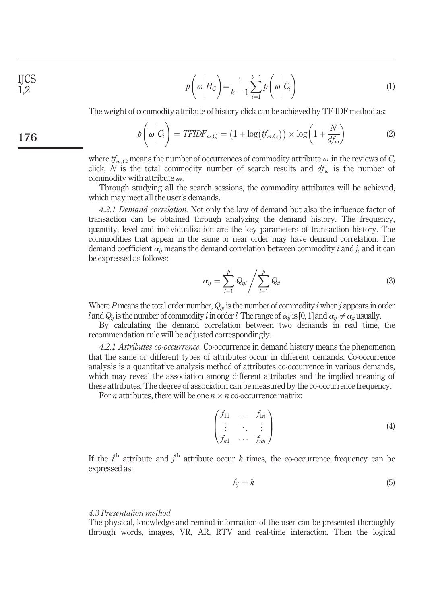IJCS  
1,2 
$$
p\left(\omega\middle|H_c\right) = \frac{1}{k-1}\sum_{i=1}^{k-1}p\left(\omega\middle|C_i\right)
$$
 (1)

The weight of commodity attribute of history click can be achieved by TF-IDF method as:

$$
p\left(\omega\middle|C_i\right) = TFDF_{\omega,C_i} = \left(1 + \log\left(tf_{\omega,C_i}\right)\right) \times \log\left(1 + \frac{N}{df_{\omega}}\right) \tag{2}
$$

where  $tf_{\omega,G}$  means the number of occurrences of commodity attribute  $\omega$  in the reviews of  $C_i$ click, N is the total commodity number of search results and  $df_{\omega}$  is the number of commodity with attribute  $\omega$ .

Through studying all the search sessions, the commodity attributes will be achieved, which may meet all the user's demands.

4.2.1 Demand correlation. Not only the law of demand but also the influence factor of transaction can be obtained through analyzing the demand history. The frequency, quantity, level and individualization are the key parameters of transaction history. The commodities that appear in the same or near order may have demand correlation. The demand coefficient  $\alpha_{ii}$  means the demand correlation between commodity i and i, and it can be expressed as follows:

$$
\alpha_{ij} = \sum_{l=1}^{p} Q_{ijl} / \sum_{l=1}^{p} Q_{il}
$$
\n(3)

Where P means the total order number,  $Q_{ijl}$  is the number of commodity i when j appears in order l and  $Q_{ii}$  is the number of commodity i in order l. The range of  $\alpha_{ii}$  is [0, 1] and  $\alpha_{ii} \neq \alpha_{ii}$  usually.

By calculating the demand correlation between two demands in real time, the recommendation rule will be adjusted correspondingly.

4.2.1 Attributes co-occurrence. Co-occurrence in demand history means the phenomenon that the same or different types of attributes occur in different demands. Co-occurrence analysis is a quantitative analysis method of attributes co-occurrence in various demands, which may reveal the association among different attributes and the implied meaning of these attributes. The degree of association can be measured by the co-occurrence frequency.

For *n* attributes, there will be one  $n \times n$  co-occurrence matrix:

$$
\begin{pmatrix} f_{11} & \cdots & f_{1n} \\ \vdots & \ddots & \vdots \\ f_{n1} & \cdots & f_{nn} \end{pmatrix} \tag{4}
$$

If the  $i<sup>th</sup>$  attribute and  $j<sup>th</sup>$  attribute occur k times, the co-occurrence frequency can be expressed as:

$$
f_{ij} = k \tag{5}
$$

#### 4.3 Presentation method

176

The physical, knowledge and remind information of the user can be presented thoroughly through words, images, VR, AR, RTV and real-time interaction. Then the logical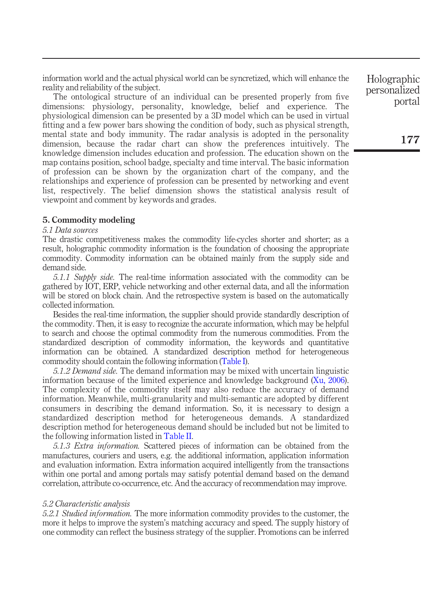information world and the actual physical world can be syncretized, which will enhance the reality and reliability of the subject.

The ontological structure of an individual can be presented properly from five dimensions: physiology, personality, knowledge, belief and experience. The physiological dimension can be presented by a 3D model which can be used in virtual fitting and a few power bars showing the condition of body, such as physical strength, mental state and body immunity. The radar analysis is adopted in the personality dimension, because the radar chart can show the preferences intuitively. The knowledge dimension includes education and profession. The education shown on the map contains position, school badge, specialty and time interval. The basic information of profession can be shown by the organization chart of the company, and the relationships and experience of profession can be presented by networking and event list, respectively. The belief dimension shows the statistical analysis result of viewpoint and comment by keywords and grades.

#### 5. Commodity modeling

# 5.1 Data sources

The drastic competitiveness makes the commodity life-cycles shorter and shorter; as a result, holographic commodity information is the foundation of choosing the appropriate commodity. Commodity information can be obtained mainly from the supply side and demand side.

5.1.1 Supply side. The real-time information associated with the commodity can be gathered by IOT, ERP, vehicle networking and other external data, and all the information will be stored on block chain. And the retrospective system is based on the automatically collected information.

Besides the real-time information, the supplier should provide standardly description of the commodity. Then, it is easy to recognize the accurate information, which may be helpful to search and choose the optimal commodity from the numerous commodities. From the standardized description of commodity information, the keywords and quantitative information can be obtained. A standardized description method for heterogeneous commodity should contain the following information ([Table I](#page-7-0)).

5.1.2 Demand side. The demand information may be mixed with uncertain linguistic information because of the limited experience and knowledge background ([Xu, 2006](#page-11-9)). The complexity of the commodity itself may also reduce the accuracy of demand information. Meanwhile, multi-granularity and multi-semantic are adopted by different consumers in describing the demand information. So, it is necessary to design a standardized description method for heterogeneous demands. A standardized description method for heterogeneous demand should be included but not be limited to the following information listed in [Table II.](#page-8-0)

5.1.3 Extra information. Scattered pieces of information can be obtained from the manufactures, couriers and users, e.g. the additional information, application information and evaluation information. Extra information acquired intelligently from the transactions within one portal and among portals may satisfy potential demand based on the demand correlation, attribute co-occurrence, etc. And the accuracy of recommendation may improve.

# 5.2 Characteristic analysis

5.2.1 Studied information. The more information commodity provides to the customer, the more it helps to improve the system's matching accuracy and speed. The supply history of one commodity can reflect the business strategy of the supplier. Promotions can be inferred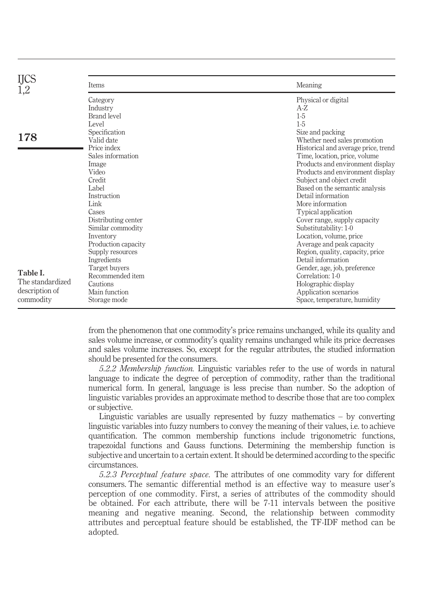| <b>IJCS</b><br>1,2                                          | <b>Items</b>                                                                                                                                                                               | Meaning                                                                                                                                                                                                                                                                                                                                                                                    |
|-------------------------------------------------------------|--------------------------------------------------------------------------------------------------------------------------------------------------------------------------------------------|--------------------------------------------------------------------------------------------------------------------------------------------------------------------------------------------------------------------------------------------------------------------------------------------------------------------------------------------------------------------------------------------|
| 178                                                         | Category<br>Industry<br><b>Brand</b> level<br>Level<br>Specification<br>Valid date<br>Price index                                                                                          | Physical or digital<br>$A-Z$<br>$1-5$<br>$1 - 5$<br>Size and packing<br>Whether need sales promotion<br>Historical and average price, trend                                                                                                                                                                                                                                                |
|                                                             | Sales information<br>Image<br>Video<br>Credit<br>Label<br>Instruction<br>Link<br>Cases<br>Distributing center<br>Similar commodity<br>Inventory<br>Production capacity<br>Supply resources | Time, location, price, volume<br>Products and environment display<br>Products and environment display<br>Subject and object credit<br>Based on the semantic analysis<br>Detail information<br>More information<br>Typical application<br>Cover range, supply capacity<br>Substitutability: 1-0<br>Location, volume, price<br>Average and peak capacity<br>Region, quality, capacity, price |
| Table I.<br>The standardized<br>description of<br>commodity | Ingredients<br>Target buyers<br>Recommended item<br>Cautions<br>Main function<br>Storage mode                                                                                              | Detail information<br>Gender, age, job, preference<br>Correlation: 1-0<br>Holographic display<br>Application scenarios<br>Space, temperature, humidity                                                                                                                                                                                                                                     |

<span id="page-7-0"></span>from the phenomenon that one commodity's price remains unchanged, while its quality and sales volume increase, or commodity's quality remains unchanged while its price decreases and sales volume increases. So, except for the regular attributes, the studied information should be presented for the consumers.

5.2.2 Membership function. Linguistic variables refer to the use of words in natural language to indicate the degree of perception of commodity, rather than the traditional numerical form. In general, language is less precise than number. So the adoption of linguistic variables provides an approximate method to describe those that are too complex or subjective.

Linguistic variables are usually represented by fuzzy mathematics – by converting linguistic variables into fuzzy numbers to convey the meaning of their values, i.e. to achieve quantification. The common membership functions include trigonometric functions, trapezoidal functions and Gauss functions. Determining the membership function is subjective and uncertain to a certain extent. It should be determined according to the specific circumstances.

5.2.3 Perceptual feature space. The attributes of one commodity vary for different consumers. The semantic differential method is an effective way to measure user's perception of one commodity. First, a series of attributes of the commodity should be obtained. For each attribute, there will be 7-11 intervals between the positive meaning and negative meaning. Second, the relationship between commodity attributes and perceptual feature should be established, the TF-IDF method can be adopted.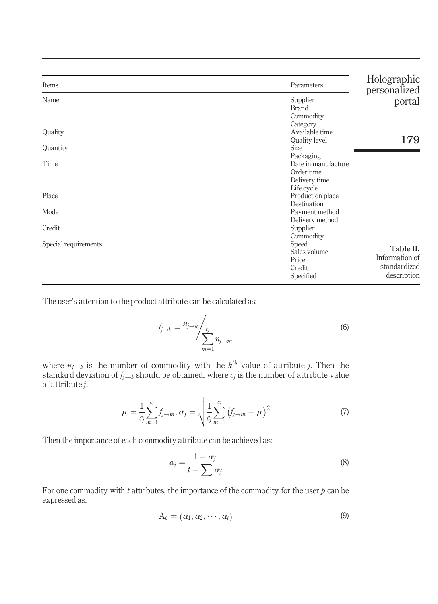| Items                | Parameters                                                      | Holographic<br>personalized                                |
|----------------------|-----------------------------------------------------------------|------------------------------------------------------------|
| Name                 | Supplier<br><b>Brand</b><br>Commodity                           | portal                                                     |
| Quality              | Category<br>Available time<br><b>Quality level</b>              | 179                                                        |
| Quantity             | <b>Size</b>                                                     |                                                            |
| Time                 | Packaging<br>Date in manufacture<br>Order time<br>Delivery time |                                                            |
| Place                | Life cycle<br>Production place<br>Destination                   |                                                            |
| Mode                 | Payment method                                                  |                                                            |
| Credit               | Delivery method<br>Supplier<br>Commodity                        |                                                            |
| Special requirements | Speed<br>Sales volume<br>Price<br>Credit<br>Specified           | Table II.<br>Information of<br>standardized<br>description |

The user's attention to the product attribute can be calculated as:

<span id="page-8-0"></span> $f_{j\rightarrow k} = n_{j\rightarrow k}$  $\sum_{i=1}^{c_i}$  $\sum_{m=1}^{\infty} n_{j \to m}$ (6)

where  $n_{j\rightarrow k}$  is the number of commodity with the  $k^{th}$  value of attribute j. Then the standard deviation of  $f_{j\to k}$  should be obtained, where  $c_j$  is the number of attribute value of attribute j.

$$
\mu = \frac{1}{c_j} \sum_{m=1}^{c_j} f_{j \to m}, \sigma_j = \sqrt{\frac{1}{c_j} \sum_{m=1}^{c_j} (f_{j \to m} - \mu)^2}
$$
(7)

Then the importance of each commodity attribute can be achieved as:

$$
\alpha_j = \frac{1 - \sigma_j}{t - \sum \sigma_j} \tag{8}
$$

For one commodity with  $t$  attributes, the importance of the commodity for the user  $p$  can be expressed as:

$$
A_p = (\alpha_1, \alpha_2, \cdots, \alpha_t)
$$
\n(9)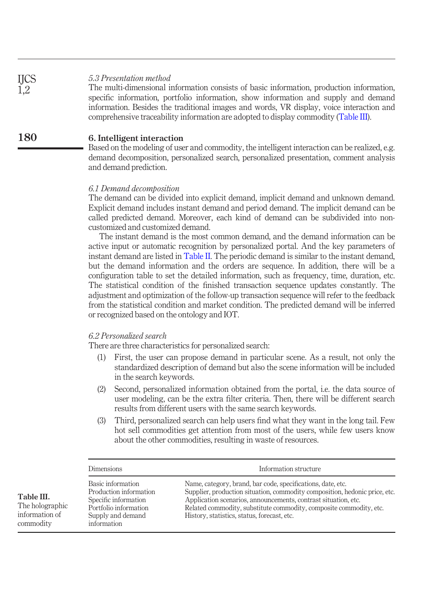#### 5.3 Presentation method IJCS

1,2

The multi-dimensional information consists of basic information, production information, specific information, portfolio information, show information and supply and demand information. Besides the traditional images and words, VR display, voice interaction and comprehensive traceability information are adopted to display commodity [\(Table III](#page-9-0)).

#### 6. Intelligent interaction 180

Based on the modeling of user and commodity, the intelligent interaction can be realized, e.g. demand decomposition, personalized search, personalized presentation, comment analysis and demand prediction.

# 6.1 Demand decomposition

The demand can be divided into explicit demand, implicit demand and unknown demand. Explicit demand includes instant demand and period demand. The implicit demand can be called predicted demand. Moreover, each kind of demand can be subdivided into noncustomized and customized demand.

The instant demand is the most common demand, and the demand information can be active input or automatic recognition by personalized portal. And the key parameters of instant demand are listed in [Table II](#page-8-0). The periodic demand is similar to the instant demand, but the demand information and the orders are sequence. In addition, there will be a configuration table to set the detailed information, such as frequency, time, duration, etc. The statistical condition of the finished transaction sequence updates constantly. The adjustment and optimization of the follow-up transaction sequence will refer to the feedback from the statistical condition and market condition. The predicted demand will be inferred or recognized based on the ontology and IOT.

# 6.2 Personalized search

There are three characteristics for personalized search:

- (1) First, the user can propose demand in particular scene. As a result, not only the standardized description of demand but also the scene information will be included in the search keywords.
- (2) Second, personalized information obtained from the portal, i.e. the data source of user modeling, can be the extra filter criteria. Then, there will be different search results from different users with the same search keywords.
- (3) Third, personalized search can help users find what they want in the long tail. Few hot sell commodities get attention from most of the users, while few users know about the other commodities, resulting in waste of resources.

<span id="page-9-0"></span>

|                                                              | Dimensions                                                                                                                       | Information structure                                                                                                                                                                                                                                                                                                            |
|--------------------------------------------------------------|----------------------------------------------------------------------------------------------------------------------------------|----------------------------------------------------------------------------------------------------------------------------------------------------------------------------------------------------------------------------------------------------------------------------------------------------------------------------------|
| Table III.<br>The holographic<br>information of<br>commodity | Basic information<br>Production information<br>Specific information<br>Portfolio information<br>Supply and demand<br>information | Name, category, brand, bar code, specifications, date, etc.<br>Supplier, production situation, commodity composition, hedonic price, etc.<br>Application scenarios, announcements, contrast situation, etc.<br>Related commodity, substitute commodity, composite commodity, etc.<br>History, statistics, status, forecast, etc. |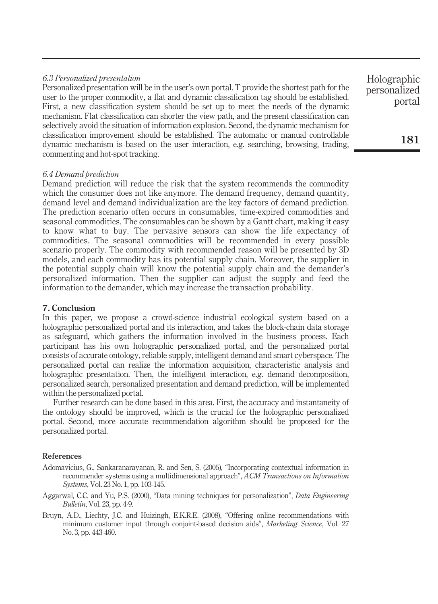# 6.3 Personalized presentation

Personalized presentation will be in the user's own portal. T provide the shortest path for the user to the proper commodity, a flat and dynamic classification tag should be established. First, a new classification system should be set up to meet the needs of the dynamic mechanism. Flat classification can shorter the view path, and the present classification can selectively avoid the situation of information explosion. Second, the dynamic mechanism for classification improvement should be established. The automatic or manual controllable dynamic mechanism is based on the user interaction, e.g. searching, browsing, trading, commenting and hot-spot tracking.

## 6.4 Demand prediction

Demand prediction will reduce the risk that the system recommends the commodity which the consumer does not like anymore. The demand frequency, demand quantity, demand level and demand individualization are the key factors of demand prediction. The prediction scenario often occurs in consumables, time-expired commodities and seasonal commodities. The consumables can be shown by a Gantt chart, making it easy to know what to buy. The pervasive sensors can show the life expectancy of commodities. The seasonal commodities will be recommended in every possible scenario properly. The commodity with recommended reason will be presented by 3D models, and each commodity has its potential supply chain. Moreover, the supplier in the potential supply chain will know the potential supply chain and the demander's personalized information. Then the supplier can adjust the supply and feed the information to the demander, which may increase the transaction probability.

# 7. Conclusion

In this paper, we propose a crowd-science industrial ecological system based on a holographic personalized portal and its interaction, and takes the block-chain data storage as safeguard, which gathers the information involved in the business process. Each participant has his own holographic personalized portal, and the personalized portal consists of accurate ontology, reliable supply, intelligent demand and smart cyberspace. The personalized portal can realize the information acquisition, characteristic analysis and holographic presentation. Then, the intelligent interaction, e.g. demand decomposition, personalized search, personalized presentation and demand prediction, will be implemented within the personalized portal.

Further research can be done based in this area. First, the accuracy and instantaneity of the ontology should be improved, which is the crucial for the holographic personalized portal. Second, more accurate recommendation algorithm should be proposed for the personalized portal.

## References

- <span id="page-10-2"></span>Adomavicius, G., Sankaranarayanan, R. and Sen, S. (2005), "Incorporating contextual information in recommender systems using a multidimensional approach", ACM Transactions on Information Systems, Vol. 23 No. 1, pp. 103-145.
- <span id="page-10-0"></span>Aggarwal, C.C. and Yu, P.S. (2000), "Data mining techniques for personalization", Data Engineering Bulletin, Vol. 23, pp. 4-9.
- <span id="page-10-1"></span>Bruyn, A.D., Liechty, J.C. and Huizingh, E.K.R.E. (2008), "Offering online recommendations with minimum customer input through conjoint-based decision aids", Marketing Science, Vol. 27 No. 3, pp. 443-460.